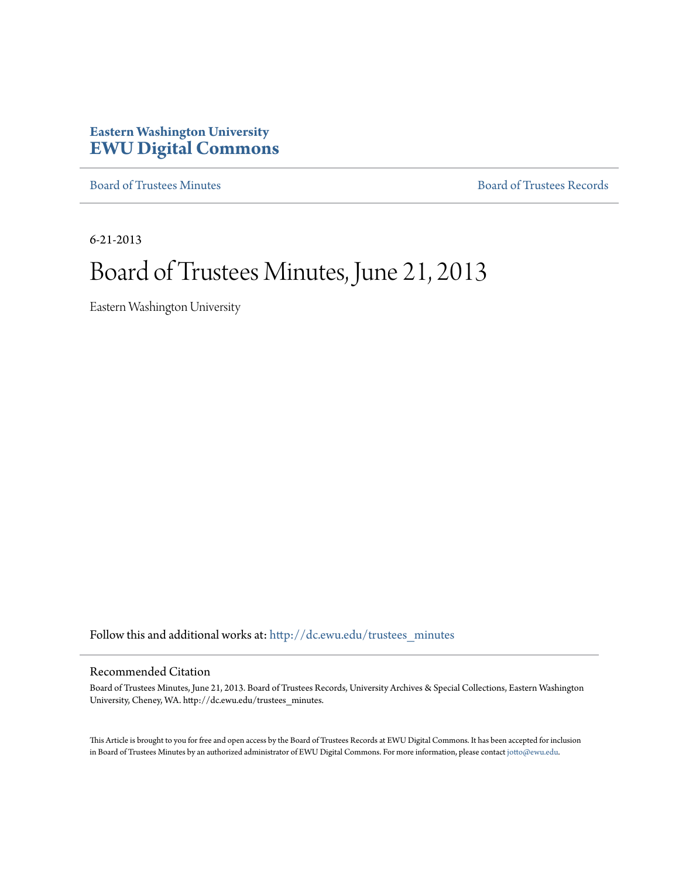# **Eastern Washington University [EWU Digital Commons](http://dc.ewu.edu?utm_source=dc.ewu.edu%2Ftrustees_minutes%2F592&utm_medium=PDF&utm_campaign=PDFCoverPages)**

[Board of Trustees Minutes](http://dc.ewu.edu/trustees_minutes?utm_source=dc.ewu.edu%2Ftrustees_minutes%2F592&utm_medium=PDF&utm_campaign=PDFCoverPages) [Board of Trustees Records](http://dc.ewu.edu/trustees?utm_source=dc.ewu.edu%2Ftrustees_minutes%2F592&utm_medium=PDF&utm_campaign=PDFCoverPages)

6-21-2013

# Board of Trustees Minutes, June 21, 2013

Eastern Washington University

Follow this and additional works at: [http://dc.ewu.edu/trustees\\_minutes](http://dc.ewu.edu/trustees_minutes?utm_source=dc.ewu.edu%2Ftrustees_minutes%2F592&utm_medium=PDF&utm_campaign=PDFCoverPages)

#### Recommended Citation

Board of Trustees Minutes, June 21, 2013. Board of Trustees Records, University Archives & Special Collections, Eastern Washington University, Cheney, WA. http://dc.ewu.edu/trustees\_minutes.

This Article is brought to you for free and open access by the Board of Trustees Records at EWU Digital Commons. It has been accepted for inclusion in Board of Trustees Minutes by an authorized administrator of EWU Digital Commons. For more information, please contact [jotto@ewu.edu.](mailto:jotto@ewu.edu)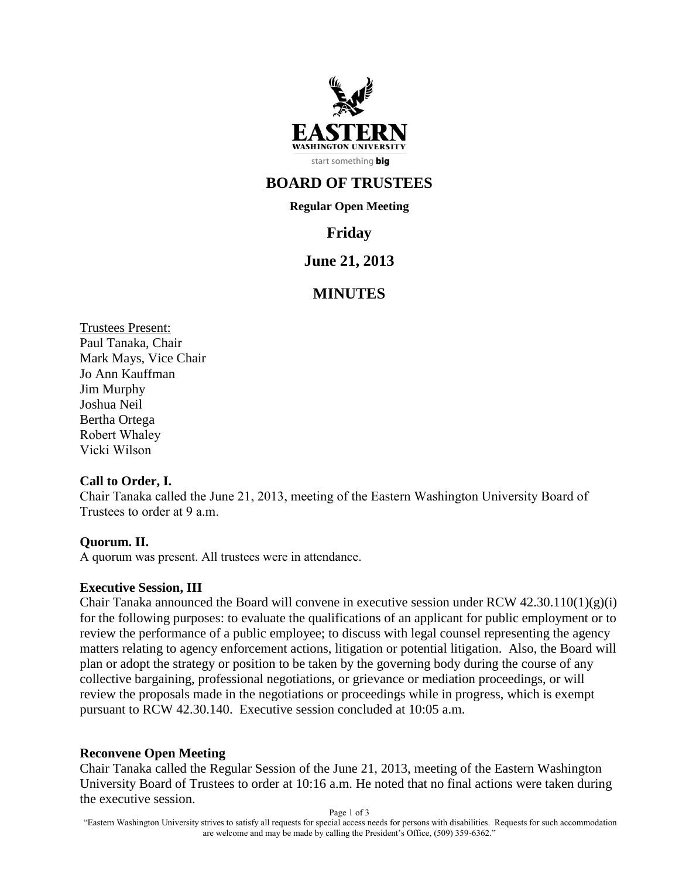

# **BOARD OF TRUSTEES**

**Regular Open Meeting**

# **Friday**

# **June 21, 2013**

# **MINUTES**

Trustees Present: Paul Tanaka, Chair Mark Mays, Vice Chair Jo Ann Kauffman Jim Murphy Joshua Neil Bertha Ortega Robert Whaley Vicki Wilson

#### **Call to Order, I.**

Chair Tanaka called the June 21, 2013, meeting of the Eastern Washington University Board of Trustees to order at 9 a.m.

## **Quorum. II.**

A quorum was present. All trustees were in attendance.

#### **Executive Session, III**

Chair Tanaka announced the Board will convene in executive session under RCW  $42.30.110(1)(g)(i)$ for the following purposes: to evaluate the qualifications of an applicant for public employment or to review the performance of a public employee; to discuss with legal counsel representing the agency matters relating to agency enforcement actions, litigation or potential litigation. Also, the Board will plan or adopt the strategy or position to be taken by the governing body during the course of any collective bargaining, professional negotiations, or grievance or mediation proceedings, or will review the proposals made in the negotiations or proceedings while in progress, which is exempt pursuant to RCW 42.30.140. Executive session concluded at 10:05 a.m.

#### **Reconvene Open Meeting**

Chair Tanaka called the Regular Session of the June 21, 2013, meeting of the Eastern Washington University Board of Trustees to order at 10:16 a.m. He noted that no final actions were taken during the executive session.

Page 1 of 3

"Eastern Washington University strives to satisfy all requests for special access needs for persons with disabilities. Requests for such accommodation are welcome and may be made by calling the President's Office, (509) 359-6362."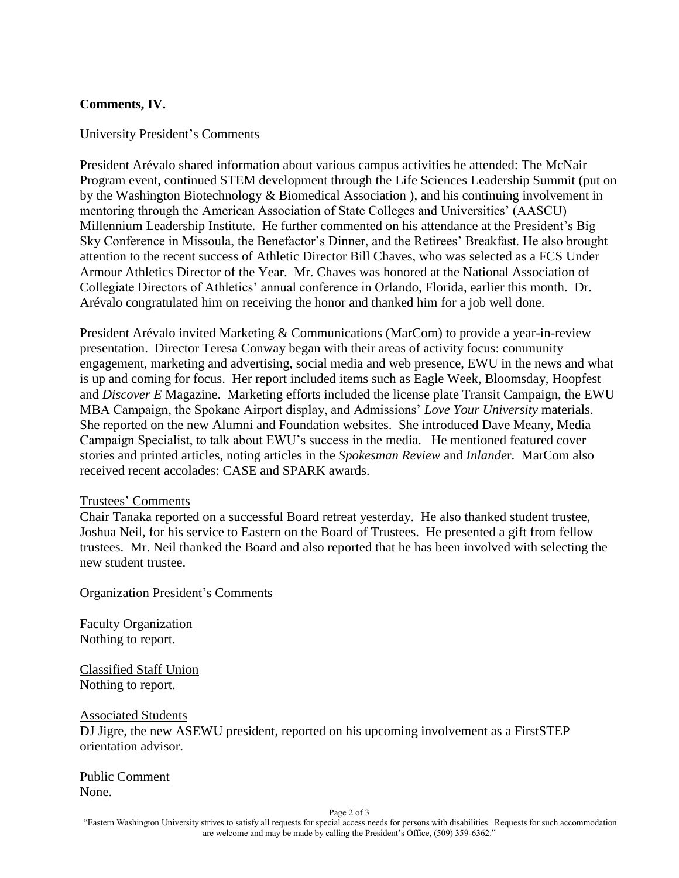## **Comments, IV.**

### University President's Comments

President Arévalo shared information about various campus activities he attended: The McNair Program event, continued STEM development through the Life Sciences Leadership Summit (put on by the Washington Biotechnology & Biomedical Association ), and his continuing involvement in mentoring through the American Association of State Colleges and Universities' (AASCU) Millennium Leadership Institute. He further commented on his attendance at the President's Big Sky Conference in Missoula, the Benefactor's Dinner, and the Retirees' Breakfast. He also brought attention to the recent success of Athletic Director Bill Chaves, who was selected as a FCS Under Armour Athletics Director of the Year. Mr. Chaves was honored at the National Association of Collegiate Directors of Athletics' annual conference in Orlando, Florida, earlier this month. Dr. Arévalo congratulated him on receiving the honor and thanked him for a job well done.

President Arévalo invited Marketing & Communications (MarCom) to provide a year-in-review presentation. Director Teresa Conway began with their areas of activity focus: community engagement, marketing and advertising, social media and web presence, EWU in the news and what is up and coming for focus. Her report included items such as Eagle Week, Bloomsday, Hoopfest and *Discover E* Magazine. Marketing efforts included the license plate Transit Campaign, the EWU MBA Campaign, the Spokane Airport display, and Admissions' *Love Your University* materials. She reported on the new Alumni and Foundation websites. She introduced Dave Meany, Media Campaign Specialist, to talk about EWU's success in the media. He mentioned featured cover stories and printed articles, noting articles in the *Spokesman Review* and *Inlande*r. MarCom also received recent accolades: CASE and SPARK awards.

#### Trustees' Comments

Chair Tanaka reported on a successful Board retreat yesterday. He also thanked student trustee, Joshua Neil, for his service to Eastern on the Board of Trustees. He presented a gift from fellow trustees. Mr. Neil thanked the Board and also reported that he has been involved with selecting the new student trustee.

Organization President's Comments

Faculty Organization Nothing to report.

Classified Staff Union Nothing to report.

Associated Students DJ Jigre, the new ASEWU president, reported on his upcoming involvement as a FirstSTEP orientation advisor.

Public Comment None.

Page 2 of 3